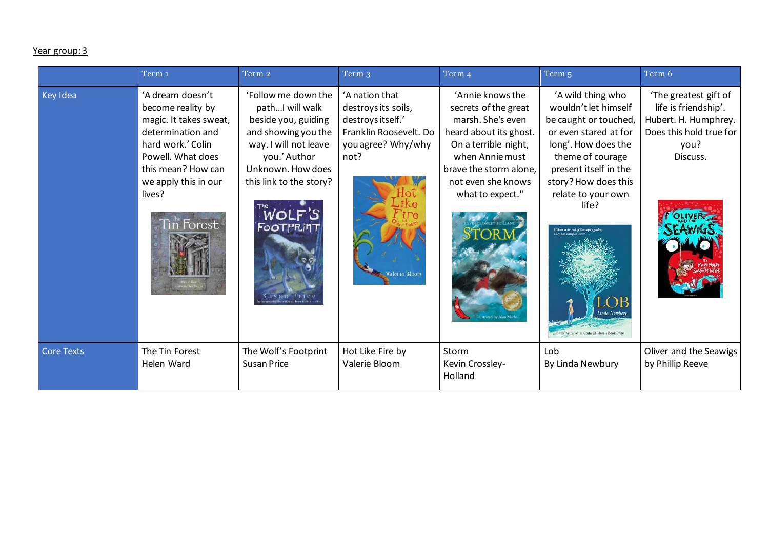## Year group: 3

|                   | Term <sub>1</sub>                                                                                                                                                                                   | Term 2                                                                                                                                                                                         | Term 3                                                                                                                              | Term 4                                                                                                                                                                                                 | Term <sub>5</sub>                                                                                                                                                                                                                                                                                                                                                            | Term 6                                                                                                               |
|-------------------|-----------------------------------------------------------------------------------------------------------------------------------------------------------------------------------------------------|------------------------------------------------------------------------------------------------------------------------------------------------------------------------------------------------|-------------------------------------------------------------------------------------------------------------------------------------|--------------------------------------------------------------------------------------------------------------------------------------------------------------------------------------------------------|------------------------------------------------------------------------------------------------------------------------------------------------------------------------------------------------------------------------------------------------------------------------------------------------------------------------------------------------------------------------------|----------------------------------------------------------------------------------------------------------------------|
| Key Idea          | 'A dream doesn't<br>become reality by<br>magic. It takes sweat,<br>determination and<br>hard work.' Colin<br>Powell. What does<br>this mean? How can<br>we apply this in our<br>lives?<br>in Forest | 'Follow me down the<br>pathI will walk<br>beside you, guiding<br>and showing you the<br>way. I will not leave<br>you.' Author<br>Unknown. How does<br>this link to the story?<br><b>WOLF'S</b> | 'A nation that<br>destroys its soils,<br>destroys itself.'<br>Franklin Roosevelt. Do<br>you agree? Why/why<br>not?<br>Valerie Bloom | 'Annie knows the<br>secrets of the great<br>marsh. She's even<br>heard about its ghost.<br>On a terrible night,<br>when Annie must<br>brave the storm alone,<br>not even she knows<br>what to expect." | 'A wild thing who<br>wouldn't let himself<br>be caught or touched,<br>or even stared at for<br>long'. How does the<br>theme of courage<br>present itself in the<br>story? How does this<br>relate to your own<br>life?<br>.<br>Hidden at the end of Grandpa's garden,<br>Lucy has a magical secret<br>ЭB<br>Linda Newbery<br>By the winner of the Costa Children's Book Priz | 'The greatest gift of<br>life is friendship'.<br>Hubert. H. Humphrey.<br>Does this hold true for<br>you?<br>Discuss. |
| <b>Core Texts</b> | The Tin Forest<br>Helen Ward                                                                                                                                                                        | The Wolf's Footprint<br><b>Susan Price</b>                                                                                                                                                     | Hot Like Fire by<br>Valerie Bloom                                                                                                   | Storm<br>Kevin Crossley-<br>Holland                                                                                                                                                                    | Lob<br>By Linda Newbury                                                                                                                                                                                                                                                                                                                                                      | Oliver and the Seawigs<br>by Phillip Reeve                                                                           |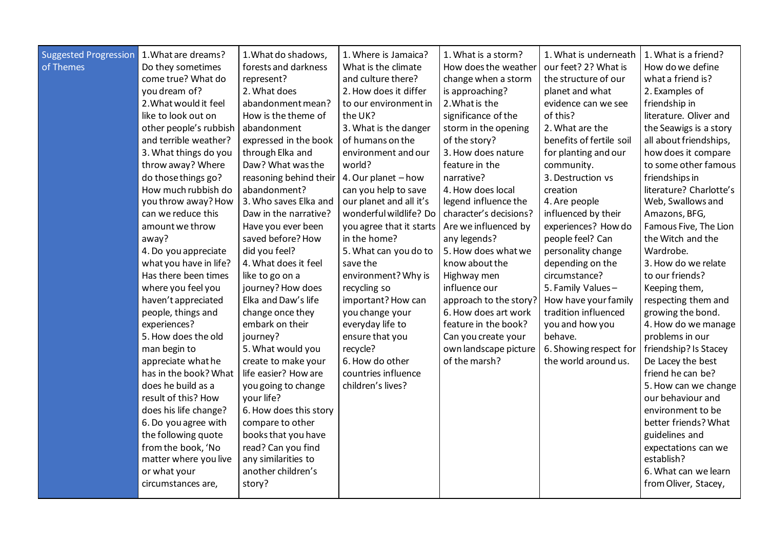| <b>Suggested Progression</b><br>of Themes | 1. What are dreams?<br>Do they sometimes<br>come true? What do<br>you dream of?<br>2. What would it feel<br>like to look out on<br>other people's rubbish<br>and terrible weather?<br>3. What things do you<br>throw away? Where<br>do those things go?<br>How much rubbish do<br>you throw away? How<br>can we reduce this<br>amount we throw<br>away?<br>4. Do you appreciate<br>what you have in life?<br>Has there been times<br>where you feel you<br>haven't appreciated<br>people, things and<br>experiences?<br>5. How does the old<br>man begin to<br>appreciate what he<br>has in the book? What<br>does he build as a<br>result of this? How<br>does his life change?<br>6. Do you agree with | 1. What do shadows,<br>forests and darkness<br>represent?<br>2. What does<br>abandonment mean?<br>How is the theme of<br>abandonment<br>expressed in the book<br>through Elka and<br>Daw? What was the<br>reasoning behind their<br>abandonment?<br>3. Who saves Elka and<br>Daw in the narrative?<br>Have you ever been<br>saved before? How<br>did you feel?<br>4. What does it feel<br>like to go on a<br>journey? How does<br>Elka and Daw's life<br>change once they<br>embark on their<br>journey?<br>5. What would you<br>create to make your<br>life easier? How are<br>you going to change<br>your life?<br>6. How does this story<br>compare to other | 1. Where is Jamaica?<br>What is the climate<br>and culture there?<br>2. How does it differ<br>to our environment in<br>the UK?<br>3. What is the danger<br>of humans on the<br>environment and our<br>world?<br>4. Our planet - how<br>can you help to save<br>our planet and all it's<br>wonderful wildlife? Do<br>you agree that it starts<br>in the home?<br>5. What can you do to<br>save the<br>environment? Why is<br>recycling so<br>important? How can<br>you change your<br>everyday life to<br>ensure that you<br>recycle?<br>6. How do other<br>countries influence<br>children's lives? | 1. What is a storm?<br>How does the weather<br>change when a storm<br>is approaching?<br>2. What is the<br>significance of the<br>storm in the opening<br>of the story?<br>3. How does nature<br>feature in the<br>narrative?<br>4. How does local<br>legend influence the<br>character's decisions?<br>Are we influenced by<br>any legends?<br>5. How does what we<br>know about the<br>Highway men<br>influence our<br>approach to the story?<br>6. How does art work<br>feature in the book?<br>Can you create your<br>own landscape picture<br>of the marsh? | 1. What is underneath<br>our feet? 2? What is<br>the structure of our<br>planet and what<br>evidence can we see<br>of this?<br>2. What are the<br>benefits of fertile soil<br>for planting and our<br>community.<br>3. Destruction vs<br>creation<br>4. Are people<br>influenced by their<br>experiences? How do<br>people feel? Can<br>personality change<br>depending on the<br>circumstance?<br>5. Family Values-<br>How have your family<br>tradition influenced<br>you and how you<br>behave.<br>6. Showing respect for<br>the world around us. | 1. What is a friend?<br>How do we define<br>what a friend is?<br>2. Examples of<br>friendship in<br>literature. Oliver and<br>the Seawigs is a story<br>all about friendships,<br>how does it compare<br>to some other famous<br>friendships in<br>literature? Charlotte's<br>Web, Swallows and<br>Amazons, BFG,<br>Famous Five, The Lion<br>the Witch and the<br>Wardrobe.<br>3. How do we relate<br>to our friends?<br>Keeping them,<br>respecting them and<br>growing the bond.<br>4. How do we manage<br>problems in our<br>friendship? Is Stacey<br>De Lacey the best<br>friend he can be?<br>5. How can we change<br>our behaviour and<br>environment to be<br>better friends? What |
|-------------------------------------------|----------------------------------------------------------------------------------------------------------------------------------------------------------------------------------------------------------------------------------------------------------------------------------------------------------------------------------------------------------------------------------------------------------------------------------------------------------------------------------------------------------------------------------------------------------------------------------------------------------------------------------------------------------------------------------------------------------|-----------------------------------------------------------------------------------------------------------------------------------------------------------------------------------------------------------------------------------------------------------------------------------------------------------------------------------------------------------------------------------------------------------------------------------------------------------------------------------------------------------------------------------------------------------------------------------------------------------------------------------------------------------------|-----------------------------------------------------------------------------------------------------------------------------------------------------------------------------------------------------------------------------------------------------------------------------------------------------------------------------------------------------------------------------------------------------------------------------------------------------------------------------------------------------------------------------------------------------------------------------------------------------|------------------------------------------------------------------------------------------------------------------------------------------------------------------------------------------------------------------------------------------------------------------------------------------------------------------------------------------------------------------------------------------------------------------------------------------------------------------------------------------------------------------------------------------------------------------|------------------------------------------------------------------------------------------------------------------------------------------------------------------------------------------------------------------------------------------------------------------------------------------------------------------------------------------------------------------------------------------------------------------------------------------------------------------------------------------------------------------------------------------------------|-------------------------------------------------------------------------------------------------------------------------------------------------------------------------------------------------------------------------------------------------------------------------------------------------------------------------------------------------------------------------------------------------------------------------------------------------------------------------------------------------------------------------------------------------------------------------------------------------------------------------------------------------------------------------------------------|
|                                           | the following quote<br>from the book, 'No<br>matter where you live<br>or what your<br>circumstances are,                                                                                                                                                                                                                                                                                                                                                                                                                                                                                                                                                                                                 | books that you have<br>read? Can you find<br>any similarities to<br>another children's<br>story?                                                                                                                                                                                                                                                                                                                                                                                                                                                                                                                                                                |                                                                                                                                                                                                                                                                                                                                                                                                                                                                                                                                                                                                     |                                                                                                                                                                                                                                                                                                                                                                                                                                                                                                                                                                  |                                                                                                                                                                                                                                                                                                                                                                                                                                                                                                                                                      | guidelines and<br>expectations can we<br>establish?<br>6. What can we learn<br>from Oliver, Stacey,                                                                                                                                                                                                                                                                                                                                                                                                                                                                                                                                                                                       |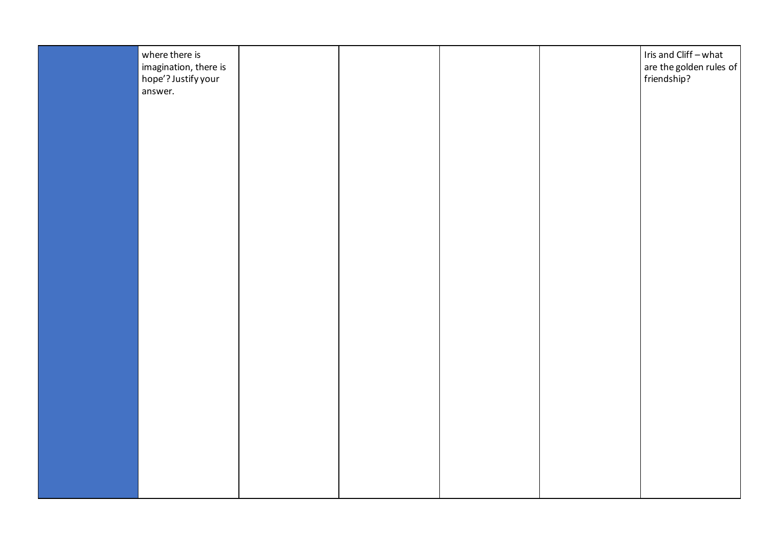|  | where there is<br>imagination, there is<br>hope'? Justify your |  |  | Iris and Cliff - what<br>$\left  \begin{array}{c} \text{are the golden rules of} \\ \text{friendship?} \end{array} \right $ |
|--|----------------------------------------------------------------|--|--|-----------------------------------------------------------------------------------------------------------------------------|
|  | answer.                                                        |  |  |                                                                                                                             |
|  |                                                                |  |  |                                                                                                                             |
|  |                                                                |  |  |                                                                                                                             |
|  |                                                                |  |  |                                                                                                                             |
|  |                                                                |  |  |                                                                                                                             |
|  |                                                                |  |  |                                                                                                                             |
|  |                                                                |  |  |                                                                                                                             |
|  |                                                                |  |  |                                                                                                                             |
|  |                                                                |  |  |                                                                                                                             |
|  |                                                                |  |  |                                                                                                                             |
|  |                                                                |  |  |                                                                                                                             |
|  |                                                                |  |  |                                                                                                                             |
|  |                                                                |  |  |                                                                                                                             |
|  |                                                                |  |  |                                                                                                                             |
|  |                                                                |  |  |                                                                                                                             |
|  |                                                                |  |  |                                                                                                                             |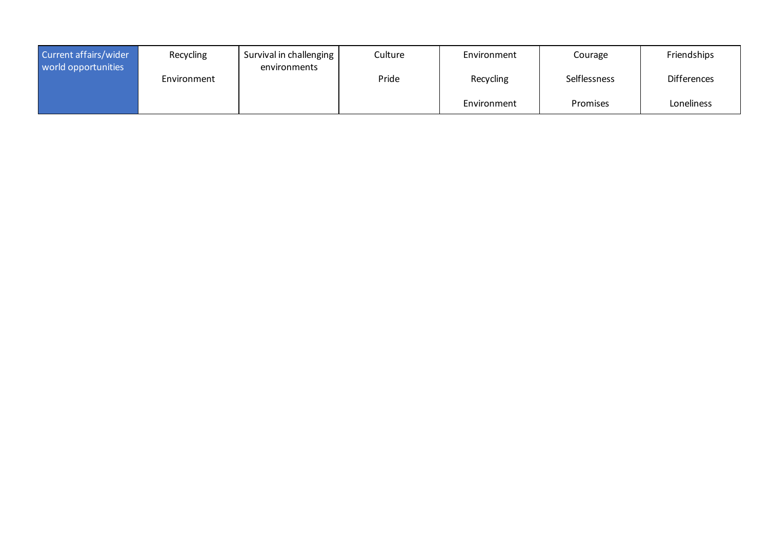| Current affairs/wider<br>world opportunities | Recycling   | Survival in challenging<br>environments | Culture | Environment | Courage      | Friendships        |
|----------------------------------------------|-------------|-----------------------------------------|---------|-------------|--------------|--------------------|
|                                              | Environment |                                         | Pride   | Recycling   | Selflessness | <b>Differences</b> |
|                                              |             |                                         |         | Environment | Promises     | Loneliness         |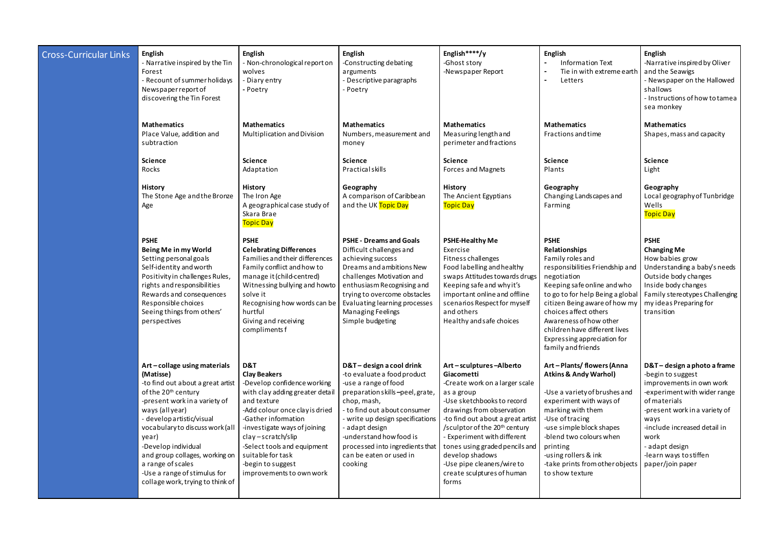| <b>Cross-Curricular Links</b> | English<br>- Narrative inspired by the Tin<br>Forest<br>- Recount of summer holidays<br>Newspaperreport of<br>discovering the Tin Forest                                                                                                                                                                                                                                                       | English<br>- Non-chronological report on<br>wolves<br>Diary entry<br>- Poetry                                                                                                                                                                                                                                                              | English<br>-Constructing debating<br>arguments<br>- Descriptive paragraphs<br>- Poetry                                                                                                                                                                                                                                     | English****/y<br>-Ghost story<br>-Newspaper Report                                                                                                                                                                                                                                                                                                                                         | English<br><b>Information Text</b><br>Tie in with extreme earth<br>$\overline{a}$<br>Letters                                                                                                                                                                                                                                                    | English<br>-Narrative inspired by Oliver<br>and the Seawigs<br>- Newspaper on the Hallowed<br>shallows<br>- Instructions of how to tamea<br>sea monkey                                                                                                                       |
|-------------------------------|------------------------------------------------------------------------------------------------------------------------------------------------------------------------------------------------------------------------------------------------------------------------------------------------------------------------------------------------------------------------------------------------|--------------------------------------------------------------------------------------------------------------------------------------------------------------------------------------------------------------------------------------------------------------------------------------------------------------------------------------------|----------------------------------------------------------------------------------------------------------------------------------------------------------------------------------------------------------------------------------------------------------------------------------------------------------------------------|--------------------------------------------------------------------------------------------------------------------------------------------------------------------------------------------------------------------------------------------------------------------------------------------------------------------------------------------------------------------------------------------|-------------------------------------------------------------------------------------------------------------------------------------------------------------------------------------------------------------------------------------------------------------------------------------------------------------------------------------------------|------------------------------------------------------------------------------------------------------------------------------------------------------------------------------------------------------------------------------------------------------------------------------|
|                               | <b>Mathematics</b><br>Place Value, addition and<br>subtraction                                                                                                                                                                                                                                                                                                                                 | <b>Mathematics</b><br>Multiplication and Division                                                                                                                                                                                                                                                                                          | <b>Mathematics</b><br>Numbers, measurement and<br>money                                                                                                                                                                                                                                                                    | <b>Mathematics</b><br>Measuring length and<br>perimeter and fractions                                                                                                                                                                                                                                                                                                                      | <b>Mathematics</b><br>Fractions and time                                                                                                                                                                                                                                                                                                        | <b>Mathematics</b><br>Shapes, mass and capacity                                                                                                                                                                                                                              |
|                               | <b>Science</b><br>Rocks                                                                                                                                                                                                                                                                                                                                                                        | Science<br>Adaptation                                                                                                                                                                                                                                                                                                                      | Science<br>Practicalskills                                                                                                                                                                                                                                                                                                 | Science<br>Forces and Magnets                                                                                                                                                                                                                                                                                                                                                              | <b>Science</b><br>Plants                                                                                                                                                                                                                                                                                                                        | Science<br>Light                                                                                                                                                                                                                                                             |
|                               | History<br>The Stone Age and the Bronze<br>Age                                                                                                                                                                                                                                                                                                                                                 | <b>History</b><br>The Iron Age<br>A geographical case study of<br>Skara Brae<br><b>Topic Day</b>                                                                                                                                                                                                                                           | Geography<br>A comparison of Caribbean<br>and the UK Topic Day                                                                                                                                                                                                                                                             | History<br>The Ancient Egyptians<br><b>Topic Day</b>                                                                                                                                                                                                                                                                                                                                       | Geography<br>Changing Landscapes and<br>Farming                                                                                                                                                                                                                                                                                                 | Geography<br>Local geography of Tunbridge<br>Wells<br><b>Topic Day</b>                                                                                                                                                                                                       |
|                               | <b>PSHE</b><br>Being Me in my World<br>Setting personal goals<br>Self-identity and worth<br>Positivity in challenges Rules,<br>rights and responsibilities<br>Rewards and consequences<br>Responsible choices<br>Seeing things from others'<br>perspectives                                                                                                                                    | <b>PSHE</b><br><b>Celebrating Differences</b><br>Families and their differences<br>Family conflict and how to<br>manage it (child-centred)<br>Witnessing bullying and howto<br>solve it<br>Recognising how words can be<br>hurtful<br>Giving and receiving<br>compliments f                                                                | <b>PSHE - Dreams and Goals</b><br>Difficult challenges and<br>achieving success<br>Dreams and ambitions New<br>challenges Motivation and<br>enthusiasm Recognising and<br>trying to overcome obstacles<br>Evaluating learning processes<br>Managing Feelings<br>Simple budgeting                                           | <b>PSHE-Healthy Me</b><br>Exercise<br>Fitness challenges<br>Food labelling and healthy<br>swaps Attitudes towards drugs<br>Keeping safe and why it's<br>important online and offline<br>scenarios Respect for myself<br>and others<br>Healthy and safe choices                                                                                                                             | <b>PSHE</b><br>Relationships<br>Family roles and<br>responsibilities Friendship and<br>negotiation<br>Keeping safe online and who<br>to go to for help Being a global<br>citizen Being aware of how my<br>choices affect others<br>Awareness of how other<br>children have different lives<br>Expressing appreciation for<br>family and friends | <b>PSHE</b><br><b>Changing Me</b><br>How babies grow<br>Understanding a baby's needs<br>Outside body changes<br>Inside body changes<br>Family stereotypes Challenging<br>my ideas Preparing for<br>transition                                                                |
|                               | Art-collage using materials<br>(Matisse)<br>-to find out about a great artist<br>of the 20 <sup>th</sup> century<br>-present work in a variety of<br>ways (allyear)<br>- develop artistic/visual<br>vocabulary to discuss work (all<br>year)<br>-Develop individual<br>and group collages, working on<br>a range of scales<br>-Use a range of stimulus for<br>collage work, trying to think of | D&T<br><b>Clay Beakers</b><br>-Develop confidence working<br>with clay adding greater detail<br>and texture<br>-Add colour once clay is dried<br>-Gather information<br>-investigate ways of joining<br>$clay - \text{scratch/s}$ lip<br>-Select tools and equipment<br>suitable for task<br>-begin to suggest<br>improvements to own work | D&T-design a cool drink<br>-to evaluate a food product<br>-use a range of food<br>preparation skills-peel, grate,<br>chop, mash,<br>- to find out about consumer<br>- write up design specifications<br>- adapt design<br>-understand how food is<br>processed into ingredients that<br>can be eaten or used in<br>cooking | Art-sculptures-Alberto<br>Giacometti<br>-Create work on a larger scale<br>as a group<br>-Use sketchbooks to record<br>drawings from observation<br>-to find out about a great artist<br>/sculptor of the 20 <sup>th</sup> century<br>- Experiment with different<br>tones using graded pencils and<br>develop shadows<br>-Use pipe cleaners/wire to<br>create sculptures of human<br>forms | Art-Plants/flowers (Anna<br><b>Atkins &amp; Andy Warhol)</b><br>-Use a variety of brushes and<br>experiment with ways of<br>marking with them<br>-Use of tracing<br>-use simple block shapes<br>-blend two colours when<br>printing<br>using rollers & ink<br>-take prints from other objects<br>to show texture                                | D&T-design a photo a frame<br>-begin to suggest<br>improvements in own work<br>-experiment with wider range<br>of materials<br>-present work in a variety of<br>ways<br>-include increased detail in<br>work<br>- adapt design<br>-learn ways to stiffen<br>paper/join paper |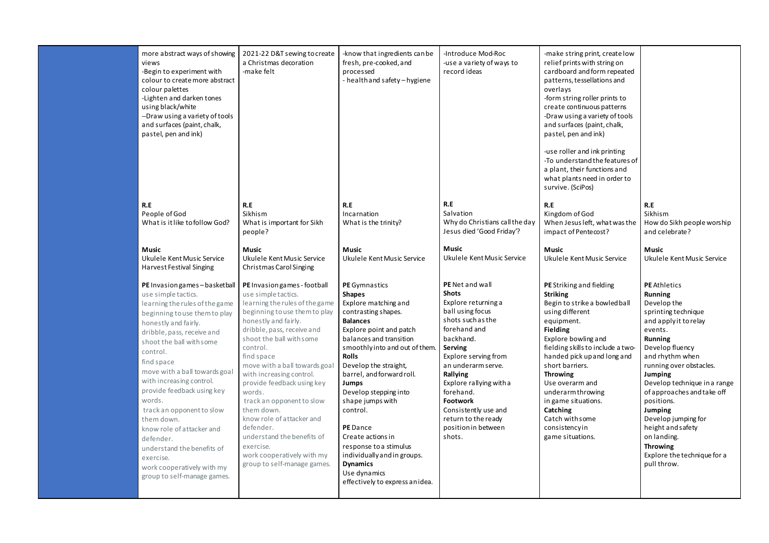| more abstract ways of showing<br>views<br>-Begin to experiment with<br>colour to create more abstract<br>colour palettes<br>-Lighten and darken tones<br>using black/white<br>--Draw using a variety of tools<br>and surfaces (paint, chalk,<br>pastel, pen and ink)                                                                                                                                                                                                                                                                 | 2021-22 D&T sewing to create<br>a Christmas decoration<br>-make felt                                                                                                                                                                                                                                                                                                                                                                                                                                                                 | -know that ingredients can be<br>fresh, pre-cooked, and<br>processed<br>- health and safety - hygiene                                                                                                                                                                                                                                                                                                                                                                                          | -Introduce Mod-Roc<br>-use a variety of ways to<br>record ideas                                                                                                                                                                                                                                                                       | -make string print, create low<br>relief prints with string on<br>cardboard and form repeated<br>patterns, tessellations and<br>overlays<br>-form string roller prints to<br>create continuous patterns<br>-Draw using a variety of tools<br>and surfaces (paint, chalk,<br>pastel, pen and ink)<br>-use roller and ink printing<br>-To understand the features of<br>a plant, their functions and<br>what plants need in order to<br>survive. (SciPos) |                                                                                                                                                                                                                                                                                                                                                                                                                    |
|--------------------------------------------------------------------------------------------------------------------------------------------------------------------------------------------------------------------------------------------------------------------------------------------------------------------------------------------------------------------------------------------------------------------------------------------------------------------------------------------------------------------------------------|--------------------------------------------------------------------------------------------------------------------------------------------------------------------------------------------------------------------------------------------------------------------------------------------------------------------------------------------------------------------------------------------------------------------------------------------------------------------------------------------------------------------------------------|------------------------------------------------------------------------------------------------------------------------------------------------------------------------------------------------------------------------------------------------------------------------------------------------------------------------------------------------------------------------------------------------------------------------------------------------------------------------------------------------|---------------------------------------------------------------------------------------------------------------------------------------------------------------------------------------------------------------------------------------------------------------------------------------------------------------------------------------|---------------------------------------------------------------------------------------------------------------------------------------------------------------------------------------------------------------------------------------------------------------------------------------------------------------------------------------------------------------------------------------------------------------------------------------------------------|--------------------------------------------------------------------------------------------------------------------------------------------------------------------------------------------------------------------------------------------------------------------------------------------------------------------------------------------------------------------------------------------------------------------|
| R.E<br>People of God<br>What is it like to follow God?                                                                                                                                                                                                                                                                                                                                                                                                                                                                               | R.E<br>Sikhism<br>What is important for Sikh<br>people?                                                                                                                                                                                                                                                                                                                                                                                                                                                                              | R.E<br>Incarnation<br>What is the trinity?                                                                                                                                                                                                                                                                                                                                                                                                                                                     | R.E<br>Salvation<br>Why do Christians call the day<br>Jesus died 'Good Friday'?                                                                                                                                                                                                                                                       | R.E<br>Kingdom of God<br>When Jesus left, what was the<br>impact of Pentecost?                                                                                                                                                                                                                                                                                                                                                                          | R.E<br>Sikhism<br>How do Sikh people worship<br>and celebrate?                                                                                                                                                                                                                                                                                                                                                     |
| <b>Music</b><br>Ukulele Kent Music Service<br>Harvest Festival Singing                                                                                                                                                                                                                                                                                                                                                                                                                                                               | Music<br>Ukulele Kent Music Service<br>Christmas Carol Singing                                                                                                                                                                                                                                                                                                                                                                                                                                                                       | Music<br>Ukulele Kent Music Service                                                                                                                                                                                                                                                                                                                                                                                                                                                            | <b>Music</b><br>Ukulele Kent Music Service                                                                                                                                                                                                                                                                                            | <b>Music</b><br>Ukulele Kent Music Service                                                                                                                                                                                                                                                                                                                                                                                                              | Music<br>Ukulele Kent Music Service                                                                                                                                                                                                                                                                                                                                                                                |
| PE Invasion games-basketball<br>use simple tactics.<br>learning the rules of the game<br>beginning to use them to play<br>honestly and fairly.<br>dribble, pass, receive and<br>shoot the ball with some<br>control.<br>find space<br>move with a ball towards goal<br>with increasing control.<br>provide feedback using key<br>words.<br>track an opponent to slow<br>them down.<br>know role of attacker and<br>defender.<br>understand the benefits of<br>exercise.<br>work cooperatively with my<br>group to self-manage games. | PE Invasion games - football<br>use simple tactics.<br>learning the rules of the game<br>beginning to use them to play<br>honestly and fairly.<br>dribble, pass, receive and<br>shoot the ball with some<br>control.<br>find space<br>move with a ball towards goal<br>with increasing control.<br>provide feedback using key<br>words.<br>track an opponent to slow<br>them down.<br>know role of attacker and<br>defender.<br>understand the benefits of<br>exercise.<br>work cooperatively with my<br>group to self-manage games. | PE Gymnastics<br><b>Shapes</b><br>Explore matching and<br>contrasting shapes.<br><b>Balances</b><br>Explore point and patch<br>balances and transition<br>smoothlyinto and out of them.<br><b>Rolls</b><br>Develop the straight,<br>barrel, and forward roll.<br>Jumps<br>Develop stepping into<br>shape jumps with<br>control.<br>PE Dance<br>Create actions in<br>response to a stimulus<br>individually and in groups.<br><b>Dynamics</b><br>Use dynamics<br>effectively to express anidea. | PE Net and wall<br><b>Shots</b><br>Explore returning a<br>ball using focus<br>shots such as the<br>forehand and<br>backhand.<br>Serving<br>Explore serving from<br>an underarm serve.<br>Rallying<br>Explore rallying with a<br>forehand.<br>Footwork<br>Consistently use and<br>return to the ready<br>position in between<br>shots. | PE Striking and fielding<br><b>Striking</b><br>Begin to strike a bowled ball<br>using different<br>equipment.<br><b>Fielding</b><br>Explore bowling and<br>fielding skills to include a two-<br>handed pick up and long and<br>short barriers.<br><b>Throwing</b><br>Use overarm and<br>underarm throwing<br>in game situations.<br>Catching<br>Catch with some<br>consistencyin<br>game situations.                                                    | <b>PE</b> Athletics<br>Running<br>Develop the<br>sprinting technique<br>and apply it to relay<br>events.<br>Running<br>Develop fluency<br>and rhythm when<br>running over obstacles.<br>Jumping<br>Develop technique in a range<br>of approaches and take off<br>positions.<br>Jumping<br>Develop jumping for<br>height and safety<br>on landing.<br><b>Throwing</b><br>Explore the technique for a<br>pull throw. |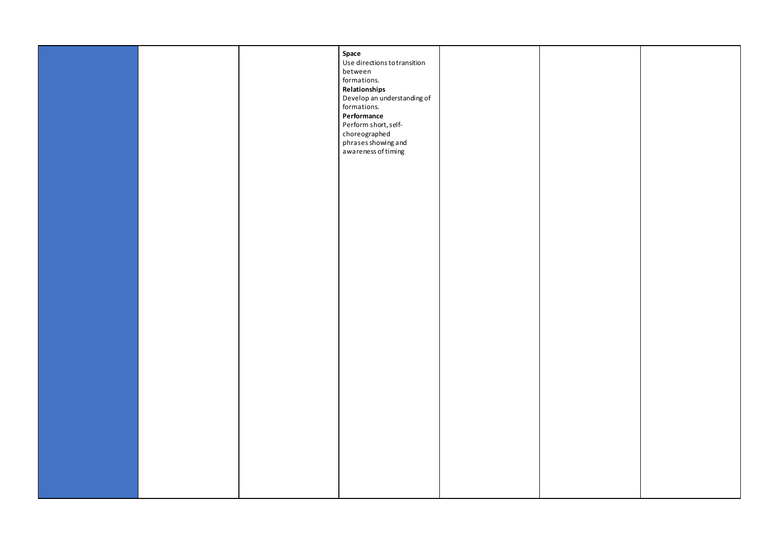|  | Space<br>Use directions to transition<br>between<br>formations.<br>Relationships<br>Develop an understanding of<br>formations.<br>Performance<br>Perform short, self-<br>choreographed<br>phrases showing and<br>awareness of timing |  |  |
|--|--------------------------------------------------------------------------------------------------------------------------------------------------------------------------------------------------------------------------------------|--|--|
|  |                                                                                                                                                                                                                                      |  |  |
|  |                                                                                                                                                                                                                                      |  |  |
|  |                                                                                                                                                                                                                                      |  |  |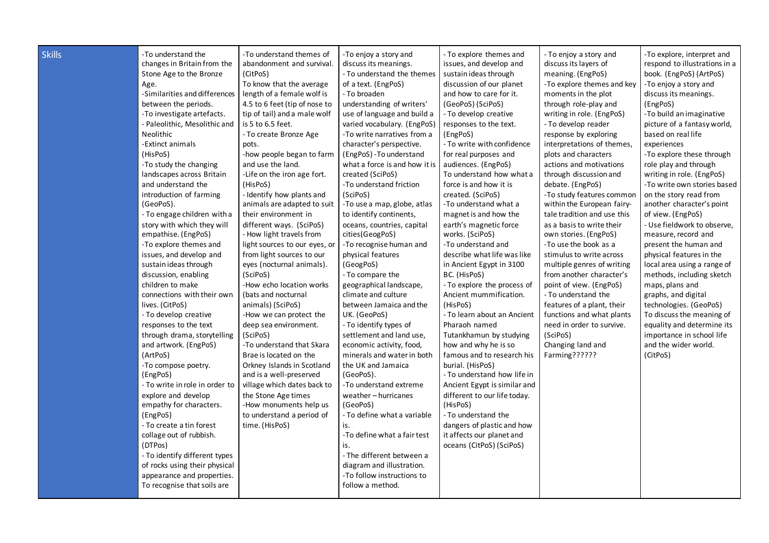| <b>Skills</b> | -To understand the<br>changes in Britain from the<br>Stone Age to the Bronze<br>Age.<br>-Similarities and differences<br>between the periods.<br>-To investigate artefacts.<br>- Paleolithic, Mesolithic and<br>Neolithic<br>-Extinct animals<br>(HisPoS)<br>-To study the changing<br>landscapes across Britain<br>and understand the<br>introduction of farming<br>(GeoPoS).<br>- To engage children with a<br>story with which they will<br>empathise. (EngPoS)<br>-To explore themes and<br>issues, and develop and<br>sustain ideas through<br>discussion, enabling<br>children to make<br>connections with their own<br>lives. (CitPoS)<br>- To develop creative<br>responses to the text<br>through drama, storytelling<br>and artwork. (EngPoS)<br>(ArtPoS)<br>-To compose poetry.<br>(EngPoS)<br>- To write in role in order to<br>explore and develop<br>empathy for characters.<br>(EngPoS)<br>- To create a tin forest<br>collage out of rubbish.<br>(DTPos)<br>- To identify different types<br>of rocks using their physical<br>appearance and properties.<br>To recognise that soils are | -To understand themes of<br>abandonment and survival.<br>(CitPoS)<br>To know that the average<br>length of a female wolf is<br>4.5 to 6 feet (tip of nose to<br>tip of tail) and a male wolf<br>is 5 to 6.5 feet.<br>- To create Bronze Age<br>pots.<br>-how people began to farm<br>and use the land.<br>-Life on the iron age fort.<br>(HisPoS)<br>- Identify how plants and<br>animals are adapted to suit<br>their environment in<br>different ways. (SciPoS)<br>- How light travels from<br>light sources to our eyes, or<br>from light sources to our<br>eyes (nocturnal animals).<br>(SciPoS)<br>-How echo location works<br>(bats and nocturnal<br>animals) (SciPoS)<br>-How we can protect the<br>deep sea environment.<br>(SciPoS)<br>-To understand that Skara<br>Brae is located on the<br>Orkney Islands in Scotland<br>and is a well-preserved<br>village which dates back to<br>the Stone Age times<br>-How monuments help us<br>to understand a period of<br>time. (HisPoS) | -To enjoy a story and<br>discuss its meanings.<br>- To understand the themes<br>of a text. (EngPoS)<br>- To broaden<br>understanding of writers'<br>use of language and build a<br>varied vocabulary. (EngPoS)<br>-To write narratives from a<br>character's perspective.<br>(EngPoS) - To understand<br>what a force is and how it is<br>created (SciPoS)<br>-To understand friction<br>(SciPoS)<br>-To use a map, globe, atlas<br>to identify continents,<br>oceans, countries, capital<br>cities (GeogPoS)<br>-To recognise human and<br>physical features<br>(GeogPoS)<br>- To compare the<br>geographical landscape,<br>climate and culture<br>between Jamaica and the<br>UK. (GeoPoS)<br>- To identify types of<br>settlement and land use,<br>economic activity, food,<br>minerals and water in both<br>the UK and Jamaica<br>(GeoPoS).<br>-To understand extreme<br>weather - hurricanes<br>(GeoPoS)<br>- To define what a variable<br>is.<br>-To define what a fair test<br>is.<br>- The different between a<br>diagram and illustration.<br>-To follow instructions to<br>follow a method. | - To explore themes and<br>issues, and develop and<br>sustain ideas through<br>discussion of our planet<br>and how to care for it.<br>(GeoPoS) (SciPoS)<br>- To develop creative<br>responses to the text.<br>(EngPoS)<br>- To write with confidence<br>for real purposes and<br>audiences. (EngPoS)<br>To understand how what a<br>force is and how it is<br>created. (SciPoS)<br>-To understand what a<br>magnet is and how the<br>earth's magnetic force<br>works. (SciPoS)<br>-To understand and<br>describe what life was like<br>in Ancient Egypt in 3100<br>BC. (HisPoS)<br>- To explore the process of<br>Ancient mummification.<br>(HisPoS)<br>- To learn about an Ancient<br>Pharaoh named<br>Tutankhamun by studying<br>how and why he is so<br>famous and to research his<br>burial. (HisPoS)<br>- To understand how life in<br>Ancient Egypt is similar and<br>different to our life today.<br>(HisPoS)<br>- To understand the<br>dangers of plastic and how<br>it affects our planet and<br>oceans (CitPoS) (SciPoS) | - To enjoy a story and<br>discuss its layers of<br>meaning. (EngPoS)<br>-To explore themes and key<br>moments in the plot<br>through role-play and<br>writing in role. (EngPoS)<br>- To develop reader<br>response by exploring<br>interpretations of themes,<br>plots and characters<br>actions and motivations<br>through discussion and<br>debate. (EngPoS)<br>-To study features commor<br>within the European fairy-<br>tale tradition and use this<br>as a basis to write their<br>own stories. (EngPoS)<br>-To use the book as a<br>stimulus to write across<br>multiple genres of writing<br>from another character's<br>point of view. (EngPoS)<br>- To understand the<br>features of a plant, their<br>functions and what plants<br>need in order to survive.<br>(SciPoS)<br>Changing land and<br>Farming?????? | -To explore, interpret and<br>respond to illustrations in a<br>book. (EngPoS) (ArtPoS)<br>-To enjoy a story and<br>discuss its meanings.<br>(EngPoS)<br>-To build an imaginative<br>picture of a fantasy world,<br>based on real life<br>experiences<br>-To explore these through<br>role play and through<br>writing in role. (EngPoS)<br>-To write own stories based<br>on the story read from<br>another character's point<br>of view. (EngPoS)<br>- Use fieldwork to observe.<br>measure, record and<br>present the human and<br>physical features in the<br>local area using a range of<br>methods, including sketch<br>maps, plans and<br>graphs, and digital<br>technologies. (GeoPoS)<br>To discuss the meaning of<br>equality and determine its<br>importance in school life<br>and the wider world.<br>(CitPoS) |
|---------------|---------------------------------------------------------------------------------------------------------------------------------------------------------------------------------------------------------------------------------------------------------------------------------------------------------------------------------------------------------------------------------------------------------------------------------------------------------------------------------------------------------------------------------------------------------------------------------------------------------------------------------------------------------------------------------------------------------------------------------------------------------------------------------------------------------------------------------------------------------------------------------------------------------------------------------------------------------------------------------------------------------------------------------------------------------------------------------------------------------|---------------------------------------------------------------------------------------------------------------------------------------------------------------------------------------------------------------------------------------------------------------------------------------------------------------------------------------------------------------------------------------------------------------------------------------------------------------------------------------------------------------------------------------------------------------------------------------------------------------------------------------------------------------------------------------------------------------------------------------------------------------------------------------------------------------------------------------------------------------------------------------------------------------------------------------------------------------------------------------------|------------------------------------------------------------------------------------------------------------------------------------------------------------------------------------------------------------------------------------------------------------------------------------------------------------------------------------------------------------------------------------------------------------------------------------------------------------------------------------------------------------------------------------------------------------------------------------------------------------------------------------------------------------------------------------------------------------------------------------------------------------------------------------------------------------------------------------------------------------------------------------------------------------------------------------------------------------------------------------------------------------------------------------------------------------------------------------------------------|------------------------------------------------------------------------------------------------------------------------------------------------------------------------------------------------------------------------------------------------------------------------------------------------------------------------------------------------------------------------------------------------------------------------------------------------------------------------------------------------------------------------------------------------------------------------------------------------------------------------------------------------------------------------------------------------------------------------------------------------------------------------------------------------------------------------------------------------------------------------------------------------------------------------------------------------------------------------------------------------------------------------------------|---------------------------------------------------------------------------------------------------------------------------------------------------------------------------------------------------------------------------------------------------------------------------------------------------------------------------------------------------------------------------------------------------------------------------------------------------------------------------------------------------------------------------------------------------------------------------------------------------------------------------------------------------------------------------------------------------------------------------------------------------------------------------------------------------------------------------|---------------------------------------------------------------------------------------------------------------------------------------------------------------------------------------------------------------------------------------------------------------------------------------------------------------------------------------------------------------------------------------------------------------------------------------------------------------------------------------------------------------------------------------------------------------------------------------------------------------------------------------------------------------------------------------------------------------------------------------------------------------------------------------------------------------------------|
|---------------|---------------------------------------------------------------------------------------------------------------------------------------------------------------------------------------------------------------------------------------------------------------------------------------------------------------------------------------------------------------------------------------------------------------------------------------------------------------------------------------------------------------------------------------------------------------------------------------------------------------------------------------------------------------------------------------------------------------------------------------------------------------------------------------------------------------------------------------------------------------------------------------------------------------------------------------------------------------------------------------------------------------------------------------------------------------------------------------------------------|---------------------------------------------------------------------------------------------------------------------------------------------------------------------------------------------------------------------------------------------------------------------------------------------------------------------------------------------------------------------------------------------------------------------------------------------------------------------------------------------------------------------------------------------------------------------------------------------------------------------------------------------------------------------------------------------------------------------------------------------------------------------------------------------------------------------------------------------------------------------------------------------------------------------------------------------------------------------------------------------|------------------------------------------------------------------------------------------------------------------------------------------------------------------------------------------------------------------------------------------------------------------------------------------------------------------------------------------------------------------------------------------------------------------------------------------------------------------------------------------------------------------------------------------------------------------------------------------------------------------------------------------------------------------------------------------------------------------------------------------------------------------------------------------------------------------------------------------------------------------------------------------------------------------------------------------------------------------------------------------------------------------------------------------------------------------------------------------------------|------------------------------------------------------------------------------------------------------------------------------------------------------------------------------------------------------------------------------------------------------------------------------------------------------------------------------------------------------------------------------------------------------------------------------------------------------------------------------------------------------------------------------------------------------------------------------------------------------------------------------------------------------------------------------------------------------------------------------------------------------------------------------------------------------------------------------------------------------------------------------------------------------------------------------------------------------------------------------------------------------------------------------------|---------------------------------------------------------------------------------------------------------------------------------------------------------------------------------------------------------------------------------------------------------------------------------------------------------------------------------------------------------------------------------------------------------------------------------------------------------------------------------------------------------------------------------------------------------------------------------------------------------------------------------------------------------------------------------------------------------------------------------------------------------------------------------------------------------------------------|---------------------------------------------------------------------------------------------------------------------------------------------------------------------------------------------------------------------------------------------------------------------------------------------------------------------------------------------------------------------------------------------------------------------------------------------------------------------------------------------------------------------------------------------------------------------------------------------------------------------------------------------------------------------------------------------------------------------------------------------------------------------------------------------------------------------------|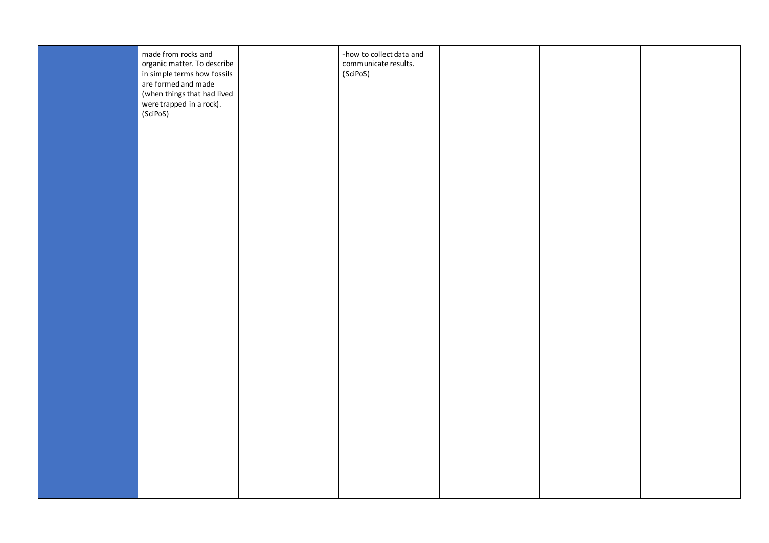| made from rocks and<br>organic matter. To describe<br>in simple terms how fossils<br>are formed and made<br>(when things that had lived<br>were trapped in a rock).<br>(SciPoS) | -how to collect data and<br>communicate results.<br>(SciPoS) |  |  |
|---------------------------------------------------------------------------------------------------------------------------------------------------------------------------------|--------------------------------------------------------------|--|--|
|                                                                                                                                                                                 |                                                              |  |  |
|                                                                                                                                                                                 |                                                              |  |  |
|                                                                                                                                                                                 |                                                              |  |  |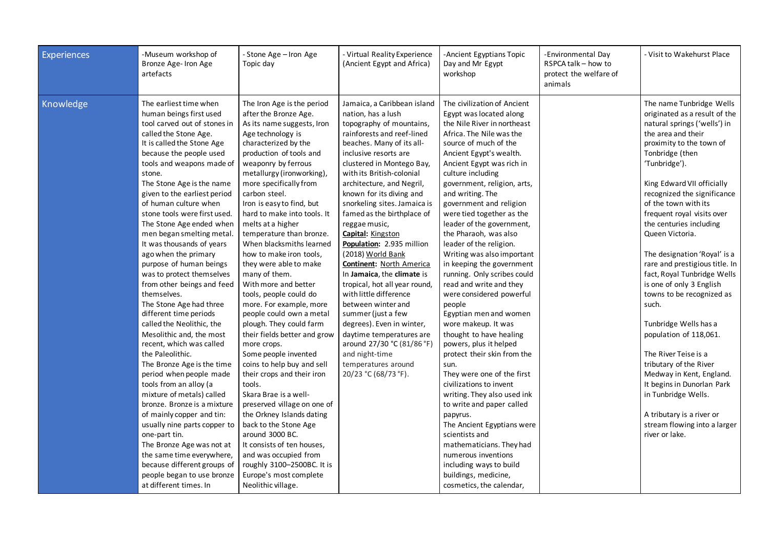| <b>Experiences</b> | -Museum workshop of<br>Bronze Age- Iron Age<br>artefacts                                                                                                                                                                                                                                                                                                                                                                                                                                                                                                                                                                                                                                                                                                                                                                                                                                                                                                                                                                                                              | - Stone Age - Iron Age<br>Topic day                                                                                                                                                                                                                                                                                                                                                                                                                                                                                                                                                                                                                                                                                                                                                                                                                                                                                                                                                                      | - Virtual Reality Experience<br>(Ancient Egypt and Africa)                                                                                                                                                                                                                                                                                                                                                                                                                                                                                                                                                                                                                                                                                                                   | -Ancient Egyptians Topic<br>Day and Mr Egypt<br>workshop                                                                                                                                                                                                                                                                                                                                                                                                                                                                                                                                                                                                                                                                                                                                                                                                                                                                                                                                                           | -Environmental Day<br>RSPCA talk - how to<br>protect the welfare of<br>animals | - Visit to Wakehurst Place                                                                                                                                                                                                                                                                                                                                                                                                                                                                                                                                                                                                                                                                                                                                                               |
|--------------------|-----------------------------------------------------------------------------------------------------------------------------------------------------------------------------------------------------------------------------------------------------------------------------------------------------------------------------------------------------------------------------------------------------------------------------------------------------------------------------------------------------------------------------------------------------------------------------------------------------------------------------------------------------------------------------------------------------------------------------------------------------------------------------------------------------------------------------------------------------------------------------------------------------------------------------------------------------------------------------------------------------------------------------------------------------------------------|----------------------------------------------------------------------------------------------------------------------------------------------------------------------------------------------------------------------------------------------------------------------------------------------------------------------------------------------------------------------------------------------------------------------------------------------------------------------------------------------------------------------------------------------------------------------------------------------------------------------------------------------------------------------------------------------------------------------------------------------------------------------------------------------------------------------------------------------------------------------------------------------------------------------------------------------------------------------------------------------------------|------------------------------------------------------------------------------------------------------------------------------------------------------------------------------------------------------------------------------------------------------------------------------------------------------------------------------------------------------------------------------------------------------------------------------------------------------------------------------------------------------------------------------------------------------------------------------------------------------------------------------------------------------------------------------------------------------------------------------------------------------------------------------|--------------------------------------------------------------------------------------------------------------------------------------------------------------------------------------------------------------------------------------------------------------------------------------------------------------------------------------------------------------------------------------------------------------------------------------------------------------------------------------------------------------------------------------------------------------------------------------------------------------------------------------------------------------------------------------------------------------------------------------------------------------------------------------------------------------------------------------------------------------------------------------------------------------------------------------------------------------------------------------------------------------------|--------------------------------------------------------------------------------|------------------------------------------------------------------------------------------------------------------------------------------------------------------------------------------------------------------------------------------------------------------------------------------------------------------------------------------------------------------------------------------------------------------------------------------------------------------------------------------------------------------------------------------------------------------------------------------------------------------------------------------------------------------------------------------------------------------------------------------------------------------------------------------|
| Knowledge          | The earliest time when<br>human beings first used<br>tool carved out of stones in<br>called the Stone Age.<br>It is called the Stone Age<br>because the people used<br>tools and weapons made of<br>stone.<br>The Stone Age is the name<br>given to the earliest period<br>of human culture when<br>stone tools were first used.<br>The Stone Age ended when<br>men began smelting metal.<br>It was thousands of years<br>ago when the primary<br>purpose of human beings<br>was to protect themselves<br>from other beings and feed<br>themselves.<br>The Stone Age had three<br>different time periods<br>called the Neolithic, the<br>Mesolithic and, the most<br>recent, which was called<br>the Paleolithic.<br>The Bronze Age is the time<br>period when people made<br>tools from an alloy (a<br>mixture of metals) called<br>bronze. Bronze is a mixture<br>of mainly copper and tin:<br>usually nine parts copper to<br>one-part tin.<br>The Bronze Age was not at<br>the same time everywhere,<br>because different groups of<br>people began to use bronze | The Iron Age is the period<br>after the Bronze Age.<br>As its name suggests, Iron<br>Age technology is<br>characterized by the<br>production of tools and<br>weaponry by ferrous<br>metallurgy (ironworking),<br>more specifically from<br>carbon steel.<br>Iron is easy to find, but<br>hard to make into tools. It<br>melts at a higher<br>temperature than bronze.<br>When blacksmiths learned<br>how to make iron tools,<br>they were able to make<br>many of them.<br>With more and better<br>tools, people could do<br>more. For example, more<br>people could own a metal<br>plough. They could farm<br>their fields better and grow<br>more crops.<br>Some people invented<br>coins to help buy and sell<br>their crops and their iron<br>tools.<br>Skara Brae is a well-<br>preserved village on one of<br>the Orkney Islands dating<br>back to the Stone Age<br>around 3000 BC.<br>It consists of ten houses,<br>and was occupied from<br>roughly 3100-2500BC. It is<br>Europe's most complete | Jamaica, a Caribbean island<br>nation, has a lush<br>topography of mountains,<br>rainforests and reef-lined<br>beaches. Many of its all-<br>inclusive resorts are<br>clustered in Montego Bay,<br>with its British-colonial<br>architecture, and Negril,<br>known for its diving and<br>snorkeling sites. Jamaica is<br>famed as the birthplace of<br>reggae music,<br>Capital: Kingston<br>Population: 2.935 million<br>(2018) World Bank<br><b>Continent: North America</b><br>In Jamaica, the climate is<br>tropical, hot all year round,<br>with little difference<br>between winter and<br>summer (just a few<br>degrees). Even in winter,<br>daytime temperatures are<br>around 27/30 °C (81/86 °F)<br>and night-time<br>temperatures around<br>$20/23$ °C (68/73 °F). | The civilization of Ancient<br>Egypt was located along<br>the Nile River in northeast<br>Africa. The Nile was the<br>source of much of the<br>Ancient Egypt's wealth.<br>Ancient Egypt was rich in<br>culture including<br>government, religion, arts,<br>and writing. The<br>government and religion<br>were tied together as the<br>leader of the government,<br>the Pharaoh, was also<br>leader of the religion.<br>Writing was also important<br>in keeping the government<br>running. Only scribes could<br>read and write and they<br>were considered powerful<br>people<br>Egyptian men and women<br>wore makeup. It was<br>thought to have healing<br>powers, plus it helped<br>protect their skin from the<br>sun.<br>They were one of the first<br>civilizations to invent<br>writing. They also used ink<br>to write and paper called<br>papyrus.<br>The Ancient Egyptians were<br>scientists and<br>mathematicians. They had<br>numerous inventions<br>including ways to build<br>buildings, medicine, |                                                                                | The name Tunbridge Wells<br>originated as a result of the<br>natural springs ('wells') in<br>the area and their<br>proximity to the town of<br>Tonbridge (then<br>'Tunbridge').<br>King Edward VII officially<br>recognized the significance<br>of the town with its<br>frequent royal visits over<br>the centuries including<br>Queen Victoria.<br>The designation 'Royal' is a<br>rare and prestigious title. In<br>fact, Royal Tunbridge Wells<br>is one of only 3 English<br>towns to be recognized as<br>such.<br>Tunbridge Wells has a<br>population of 118,061.<br>The River Teise is a<br>tributary of the River<br>Medway in Kent, England.<br>It begins in Dunorlan Park<br>in Tunbridge Wells.<br>A tributary is a river or<br>stream flowing into a larger<br>river or lake. |
|                    | at different times. In                                                                                                                                                                                                                                                                                                                                                                                                                                                                                                                                                                                                                                                                                                                                                                                                                                                                                                                                                                                                                                                | Neolithic village.                                                                                                                                                                                                                                                                                                                                                                                                                                                                                                                                                                                                                                                                                                                                                                                                                                                                                                                                                                                       |                                                                                                                                                                                                                                                                                                                                                                                                                                                                                                                                                                                                                                                                                                                                                                              | cosmetics, the calendar,                                                                                                                                                                                                                                                                                                                                                                                                                                                                                                                                                                                                                                                                                                                                                                                                                                                                                                                                                                                           |                                                                                |                                                                                                                                                                                                                                                                                                                                                                                                                                                                                                                                                                                                                                                                                                                                                                                          |